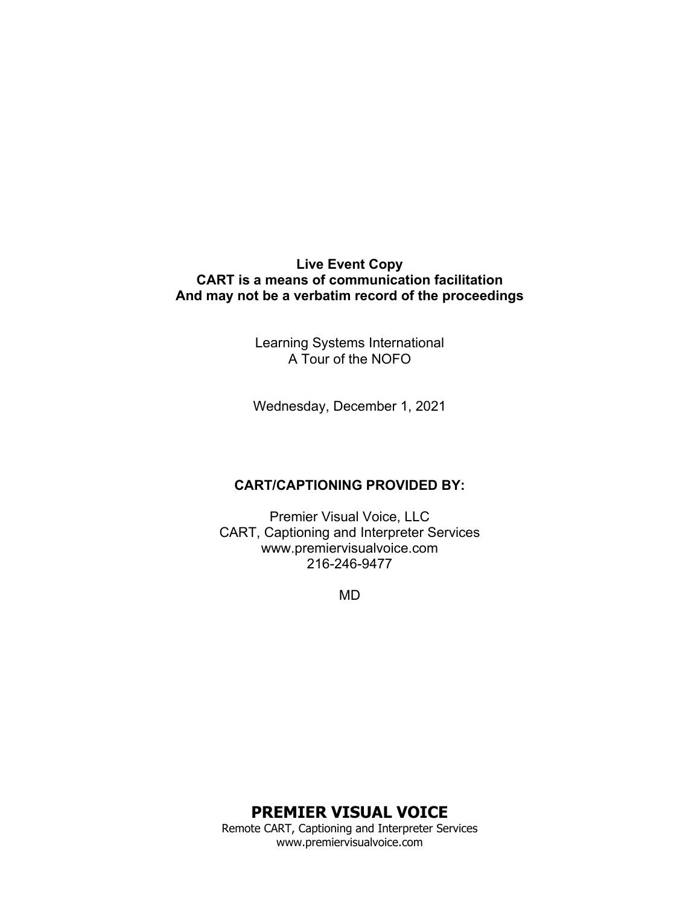## **Live Event Copy CART is a means of communication facilitation And may not be a verbatim record of the proceedings**

Learning Systems International A Tour of the NOFO

Wednesday, December 1, 2021

### **CART/CAPTIONING PROVIDED BY:**

Premier Visual Voice, LLC CART, Captioning and Interpreter Services www.premiervisualvoice.com 216-246-9477

MD

# **PREMIER VISUAL VOICE**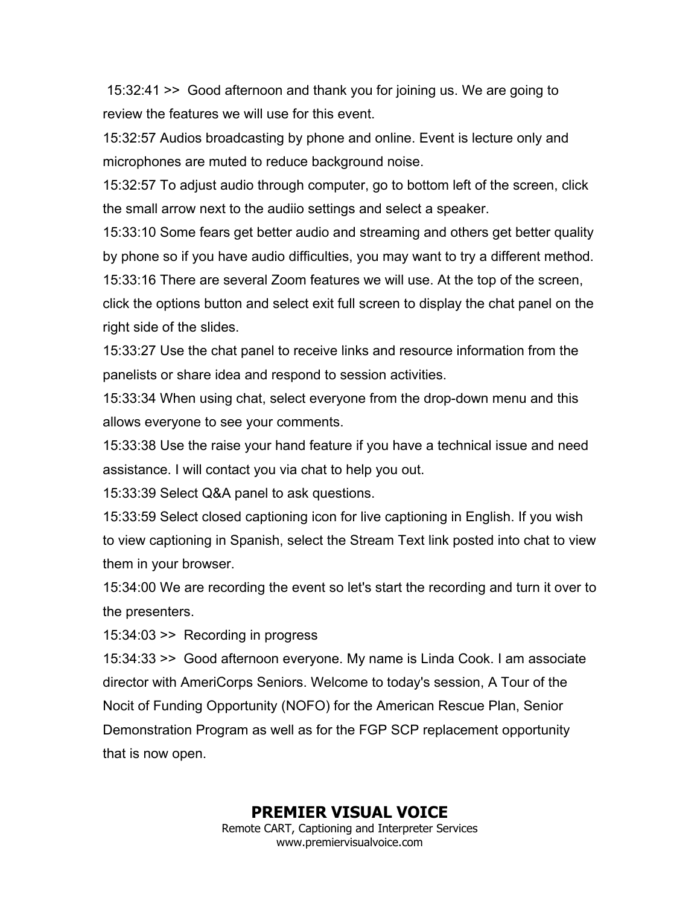15:32:41 >> Good afternoon and thank you for joining us. We are going to review the features we will use for this event.

15:32:57 Audios broadcasting by phone and online. Event is lecture only and microphones are muted to reduce background noise.

15:32:57 To adjust audio through computer, go to bottom left of the screen, click the small arrow next to the audiio settings and select a speaker.

15:33:10 Some fears get better audio and streaming and others get better quality by phone so if you have audio difficulties, you may want to try a different method. 15:33:16 There are several Zoom features we will use. At the top of the screen, click the options button and select exit full screen to display the chat panel on the right side of the slides.

15:33:27 Use the chat panel to receive links and resource information from the panelists or share idea and respond to session activities.

15:33:34 When using chat, select everyone from the drop-down menu and this allows everyone to see your comments.

15:33:38 Use the raise your hand feature if you have a technical issue and need assistance. I will contact you via chat to help you out.

15:33:39 Select Q&A panel to ask questions.

15:33:59 Select closed captioning icon for live captioning in English. If you wish to view captioning in Spanish, select the Stream Text link posted into chat to view them in your browser.

15:34:00 We are recording the event so let's start the recording and turn it over to the presenters.

15:34:03 >> Recording in progress

15:34:33 >> Good afternoon everyone. My name is Linda Cook. I am associate director with AmeriCorps Seniors. Welcome to today's session, A Tour of the Nocit of Funding Opportunity (NOFO) for the American Rescue Plan, Senior Demonstration Program as well as for the FGP SCP replacement opportunity that is now open.

**PREMIER VISUAL VOICE**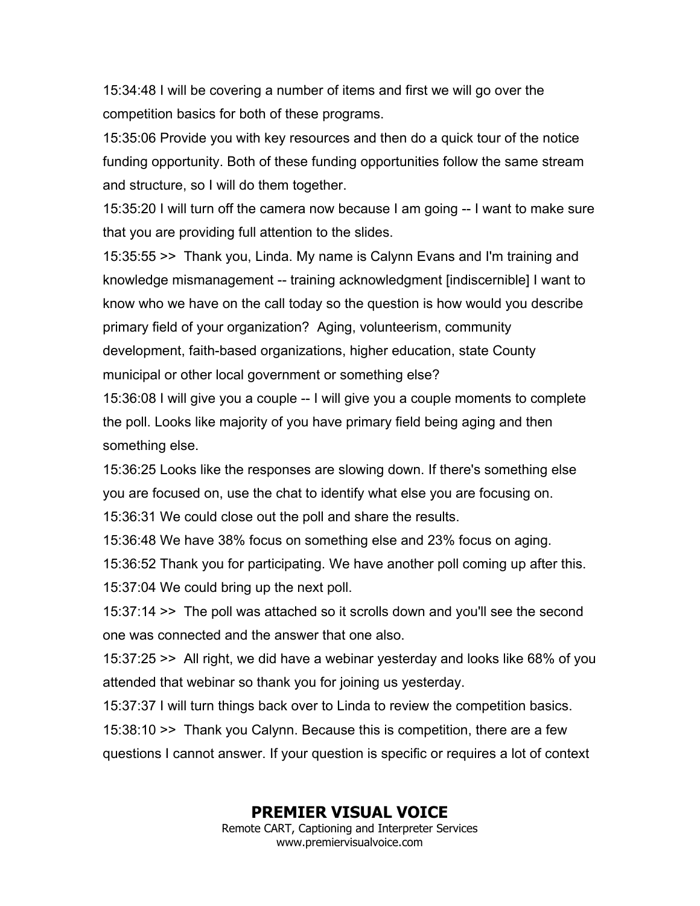15:34:48 I will be covering a number of items and first we will go over the competition basics for both of these programs.

15:35:06 Provide you with key resources and then do a quick tour of the notice funding opportunity. Both of these funding opportunities follow the same stream and structure, so I will do them together.

15:35:20 I will turn off the camera now because I am going -- I want to make sure that you are providing full attention to the slides.

15:35:55 >> Thank you, Linda. My name is Calynn Evans and I'm training and knowledge mismanagement -- training acknowledgment [indiscernible] I want to know who we have on the call today so the question is how would you describe primary field of your organization? Aging, volunteerism, community development, faith-based organizations, higher education, state County municipal or other local government or something else?

15:36:08 I will give you a couple -- I will give you a couple moments to complete the poll. Looks like majority of you have primary field being aging and then something else.

15:36:25 Looks like the responses are slowing down. If there's something else you are focused on, use the chat to identify what else you are focusing on.

15:36:31 We could close out the poll and share the results.

15:36:48 We have 38% focus on something else and 23% focus on aging.

15:36:52 Thank you for participating. We have another poll coming up after this.

15:37:04 We could bring up the next poll.

15:37:14 >> The poll was attached so it scrolls down and you'll see the second one was connected and the answer that one also.

15:37:25 >> All right, we did have a webinar yesterday and looks like 68% of you attended that webinar so thank you for joining us yesterday.

15:37:37 I will turn things back over to Linda to review the competition basics.

15:38:10 >> Thank you Calynn. Because this is competition, there are a few questions I cannot answer. If your question is specific or requires a lot of context

# **PREMIER VISUAL VOICE**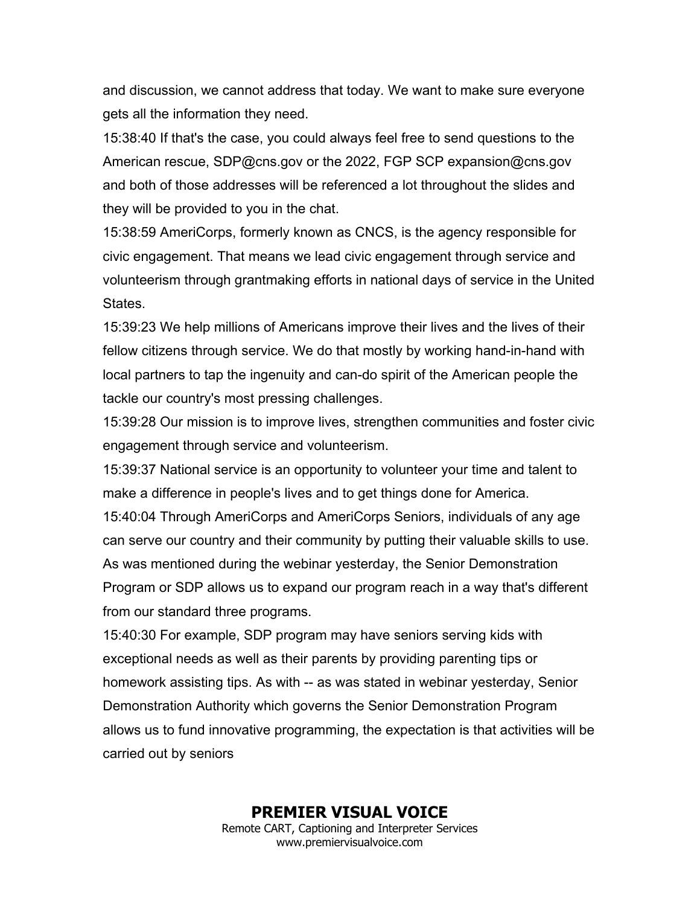and discussion, we cannot address that today. We want to make sure everyone gets all the information they need.

15:38:40 If that's the case, you could always feel free to send questions to the American rescue, SDP@cns.gov or the 2022, FGP SCP expansion@cns.gov and both of those addresses will be referenced a lot throughout the slides and they will be provided to you in the chat.

15:38:59 AmeriCorps, formerly known as CNCS, is the agency responsible for civic engagement. That means we lead civic engagement through service and volunteerism through grantmaking efforts in national days of service in the United States.

15:39:23 We help millions of Americans improve their lives and the lives of their fellow citizens through service. We do that mostly by working hand-in-hand with local partners to tap the ingenuity and can-do spirit of the American people the tackle our country's most pressing challenges.

15:39:28 Our mission is to improve lives, strengthen communities and foster civic engagement through service and volunteerism.

15:39:37 National service is an opportunity to volunteer your time and talent to make a difference in people's lives and to get things done for America.

15:40:04 Through AmeriCorps and AmeriCorps Seniors, individuals of any age can serve our country and their community by putting their valuable skills to use. As was mentioned during the webinar yesterday, the Senior Demonstration Program or SDP allows us to expand our program reach in a way that's different from our standard three programs.

15:40:30 For example, SDP program may have seniors serving kids with exceptional needs as well as their parents by providing parenting tips or homework assisting tips. As with -- as was stated in webinar yesterday, Senior Demonstration Authority which governs the Senior Demonstration Program allows us to fund innovative programming, the expectation is that activities will be carried out by seniors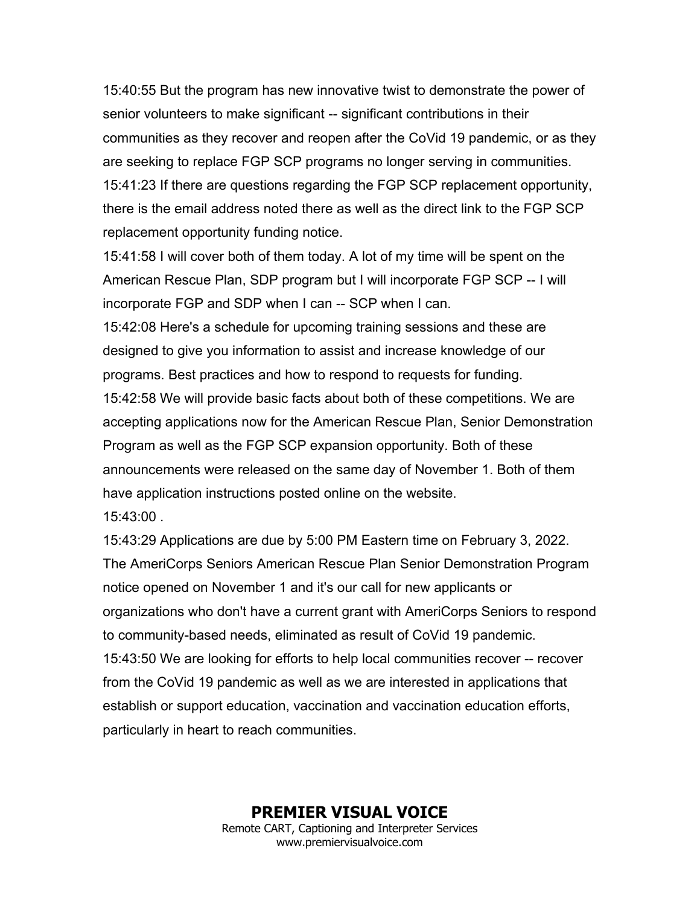15:40:55 But the program has new innovative twist to demonstrate the power of senior volunteers to make significant -- significant contributions in their communities as they recover and reopen after the CoVid 19 pandemic, or as they are seeking to replace FGP SCP programs no longer serving in communities. 15:41:23 If there are questions regarding the FGP SCP replacement opportunity, there is the email address noted there as well as the direct link to the FGP SCP replacement opportunity funding notice.

15:41:58 I will cover both of them today. A lot of my time will be spent on the American Rescue Plan, SDP program but I will incorporate FGP SCP -- I will incorporate FGP and SDP when I can -- SCP when I can.

15:42:08 Here's a schedule for upcoming training sessions and these are designed to give you information to assist and increase knowledge of our programs. Best practices and how to respond to requests for funding. 15:42:58 We will provide basic facts about both of these competitions. We are accepting applications now for the American Rescue Plan, Senior Demonstration Program as well as the FGP SCP expansion opportunity. Both of these announcements were released on the same day of November 1. Both of them have application instructions posted online on the website.

15:43:00 .

15:43:29 Applications are due by 5:00 PM Eastern time on February 3, 2022. The AmeriCorps Seniors American Rescue Plan Senior Demonstration Program notice opened on November 1 and it's our call for new applicants or organizations who don't have a current grant with AmeriCorps Seniors to respond to community-based needs, eliminated as result of CoVid 19 pandemic. 15:43:50 We are looking for efforts to help local communities recover -- recover from the CoVid 19 pandemic as well as we are interested in applications that establish or support education, vaccination and vaccination education efforts, particularly in heart to reach communities.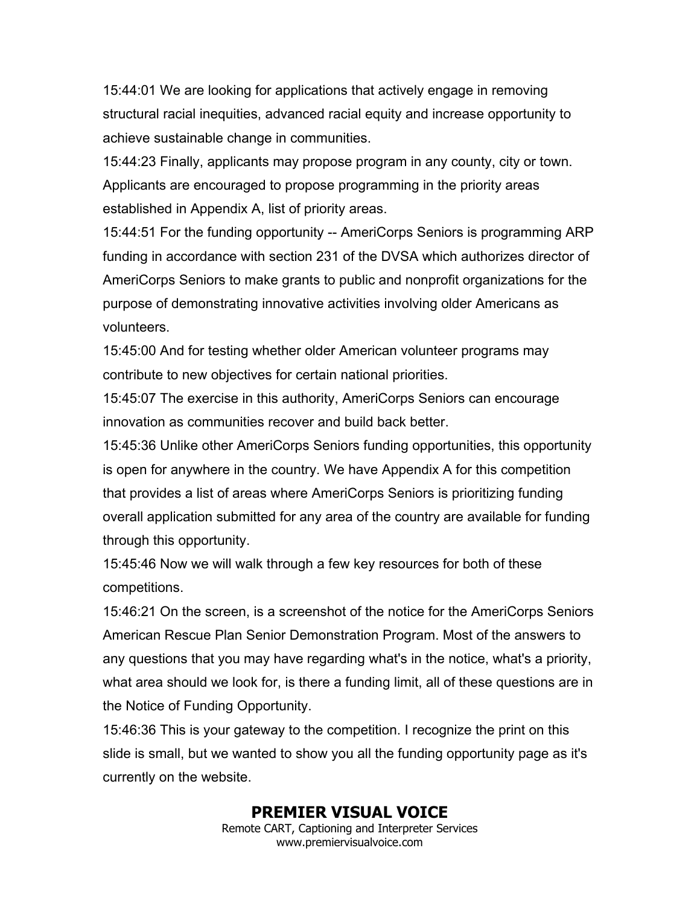15:44:01 We are looking for applications that actively engage in removing structural racial inequities, advanced racial equity and increase opportunity to achieve sustainable change in communities.

15:44:23 Finally, applicants may propose program in any county, city or town. Applicants are encouraged to propose programming in the priority areas established in Appendix A, list of priority areas.

15:44:51 For the funding opportunity -- AmeriCorps Seniors is programming ARP funding in accordance with section 231 of the DVSA which authorizes director of AmeriCorps Seniors to make grants to public and nonprofit organizations for the purpose of demonstrating innovative activities involving older Americans as volunteers.

15:45:00 And for testing whether older American volunteer programs may contribute to new objectives for certain national priorities.

15:45:07 The exercise in this authority, AmeriCorps Seniors can encourage innovation as communities recover and build back better.

15:45:36 Unlike other AmeriCorps Seniors funding opportunities, this opportunity is open for anywhere in the country. We have Appendix A for this competition that provides a list of areas where AmeriCorps Seniors is prioritizing funding overall application submitted for any area of the country are available for funding through this opportunity.

15:45:46 Now we will walk through a few key resources for both of these competitions.

15:46:21 On the screen, is a screenshot of the notice for the AmeriCorps Seniors American Rescue Plan Senior Demonstration Program. Most of the answers to any questions that you may have regarding what's in the notice, what's a priority, what area should we look for, is there a funding limit, all of these questions are in the Notice of Funding Opportunity.

15:46:36 This is your gateway to the competition. I recognize the print on this slide is small, but we wanted to show you all the funding opportunity page as it's currently on the website.

# **PREMIER VISUAL VOICE**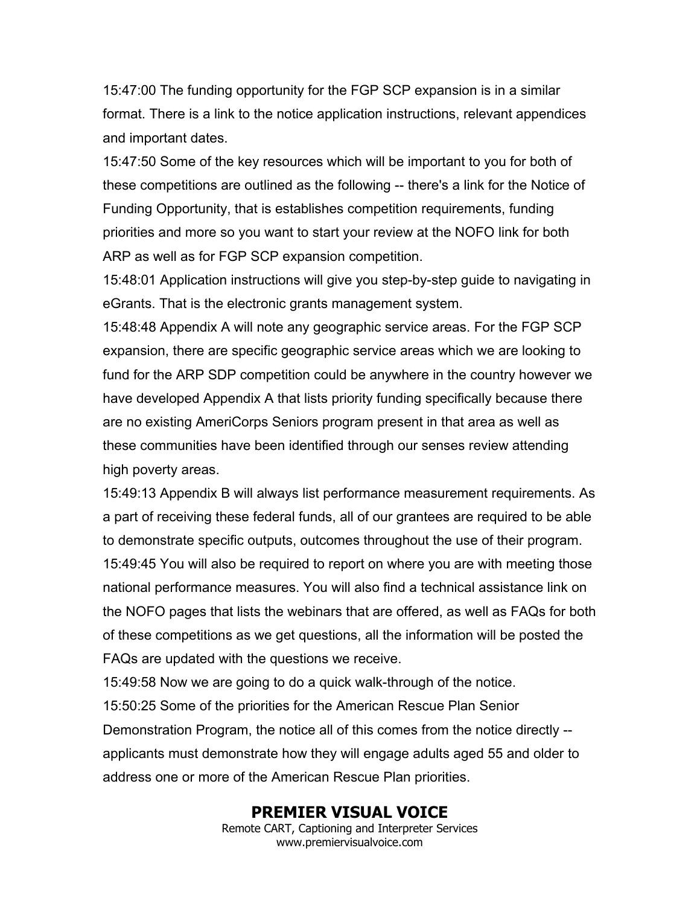15:47:00 The funding opportunity for the FGP SCP expansion is in a similar format. There is a link to the notice application instructions, relevant appendices and important dates.

15:47:50 Some of the key resources which will be important to you for both of these competitions are outlined as the following -- there's a link for the Notice of Funding Opportunity, that is establishes competition requirements, funding priorities and more so you want to start your review at the NOFO link for both ARP as well as for FGP SCP expansion competition.

15:48:01 Application instructions will give you step-by-step guide to navigating in eGrants. That is the electronic grants management system.

15:48:48 Appendix A will note any geographic service areas. For the FGP SCP expansion, there are specific geographic service areas which we are looking to fund for the ARP SDP competition could be anywhere in the country however we have developed Appendix A that lists priority funding specifically because there are no existing AmeriCorps Seniors program present in that area as well as these communities have been identified through our senses review attending high poverty areas.

15:49:13 Appendix B will always list performance measurement requirements. As a part of receiving these federal funds, all of our grantees are required to be able to demonstrate specific outputs, outcomes throughout the use of their program. 15:49:45 You will also be required to report on where you are with meeting those national performance measures. You will also find a technical assistance link on the NOFO pages that lists the webinars that are offered, as well as FAQs for both of these competitions as we get questions, all the information will be posted the FAQs are updated with the questions we receive.

15:49:58 Now we are going to do a quick walk-through of the notice. 15:50:25 Some of the priorities for the American Rescue Plan Senior Demonstration Program, the notice all of this comes from the notice directly - applicants must demonstrate how they will engage adults aged 55 and older to address one or more of the American Rescue Plan priorities.

### **PREMIER VISUAL VOICE**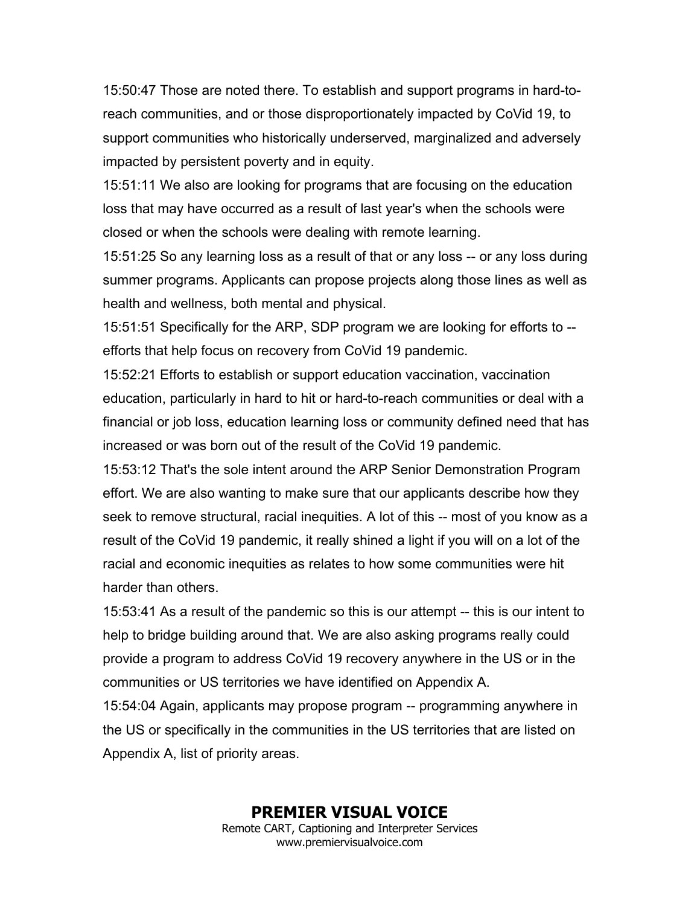15:50:47 Those are noted there. To establish and support programs in hard-toreach communities, and or those disproportionately impacted by CoVid 19, to support communities who historically underserved, marginalized and adversely impacted by persistent poverty and in equity.

15:51:11 We also are looking for programs that are focusing on the education loss that may have occurred as a result of last year's when the schools were closed or when the schools were dealing with remote learning.

15:51:25 So any learning loss as a result of that or any loss -- or any loss during summer programs. Applicants can propose projects along those lines as well as health and wellness, both mental and physical.

15:51:51 Specifically for the ARP, SDP program we are looking for efforts to - efforts that help focus on recovery from CoVid 19 pandemic.

15:52:21 Efforts to establish or support education vaccination, vaccination education, particularly in hard to hit or hard-to-reach communities or deal with a financial or job loss, education learning loss or community defined need that has increased or was born out of the result of the CoVid 19 pandemic.

15:53:12 That's the sole intent around the ARP Senior Demonstration Program effort. We are also wanting to make sure that our applicants describe how they seek to remove structural, racial inequities. A lot of this -- most of you know as a result of the CoVid 19 pandemic, it really shined a light if you will on a lot of the racial and economic inequities as relates to how some communities were hit harder than others.

15:53:41 As a result of the pandemic so this is our attempt -- this is our intent to help to bridge building around that. We are also asking programs really could provide a program to address CoVid 19 recovery anywhere in the US or in the communities or US territories we have identified on Appendix A.

15:54:04 Again, applicants may propose program -- programming anywhere in the US or specifically in the communities in the US territories that are listed on Appendix A, list of priority areas.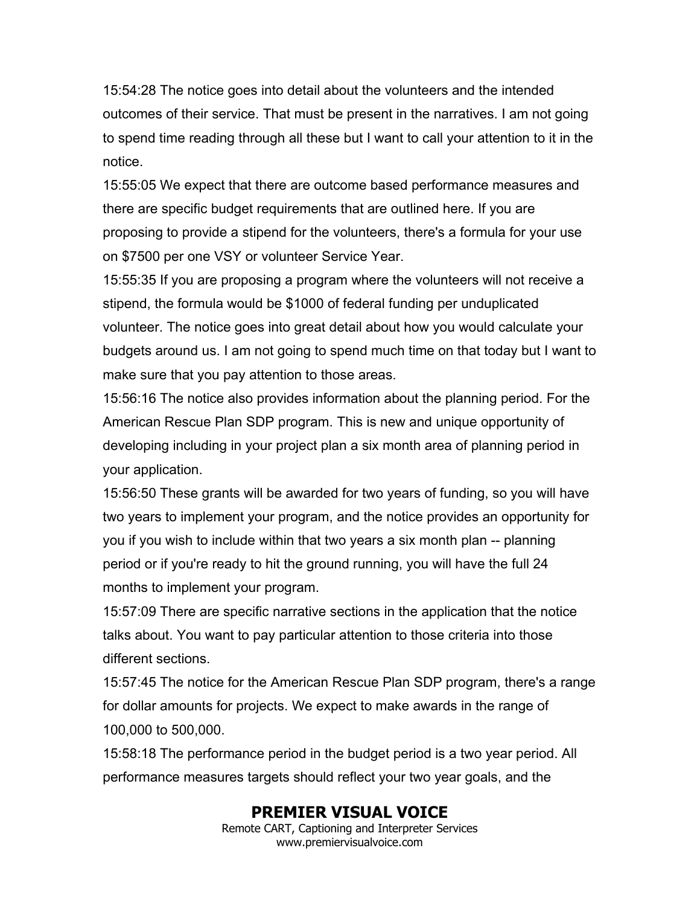15:54:28 The notice goes into detail about the volunteers and the intended outcomes of their service. That must be present in the narratives. I am not going to spend time reading through all these but I want to call your attention to it in the notice.

15:55:05 We expect that there are outcome based performance measures and there are specific budget requirements that are outlined here. If you are proposing to provide a stipend for the volunteers, there's a formula for your use on \$7500 per one VSY or volunteer Service Year.

15:55:35 If you are proposing a program where the volunteers will not receive a stipend, the formula would be \$1000 of federal funding per unduplicated volunteer. The notice goes into great detail about how you would calculate your budgets around us. I am not going to spend much time on that today but I want to make sure that you pay attention to those areas.

15:56:16 The notice also provides information about the planning period. For the American Rescue Plan SDP program. This is new and unique opportunity of developing including in your project plan a six month area of planning period in your application.

15:56:50 These grants will be awarded for two years of funding, so you will have two years to implement your program, and the notice provides an opportunity for you if you wish to include within that two years a six month plan -- planning period or if you're ready to hit the ground running, you will have the full 24 months to implement your program.

15:57:09 There are specific narrative sections in the application that the notice talks about. You want to pay particular attention to those criteria into those different sections.

15:57:45 The notice for the American Rescue Plan SDP program, there's a range for dollar amounts for projects. We expect to make awards in the range of 100,000 to 500,000.

15:58:18 The performance period in the budget period is a two year period. All performance measures targets should reflect your two year goals, and the

# **PREMIER VISUAL VOICE**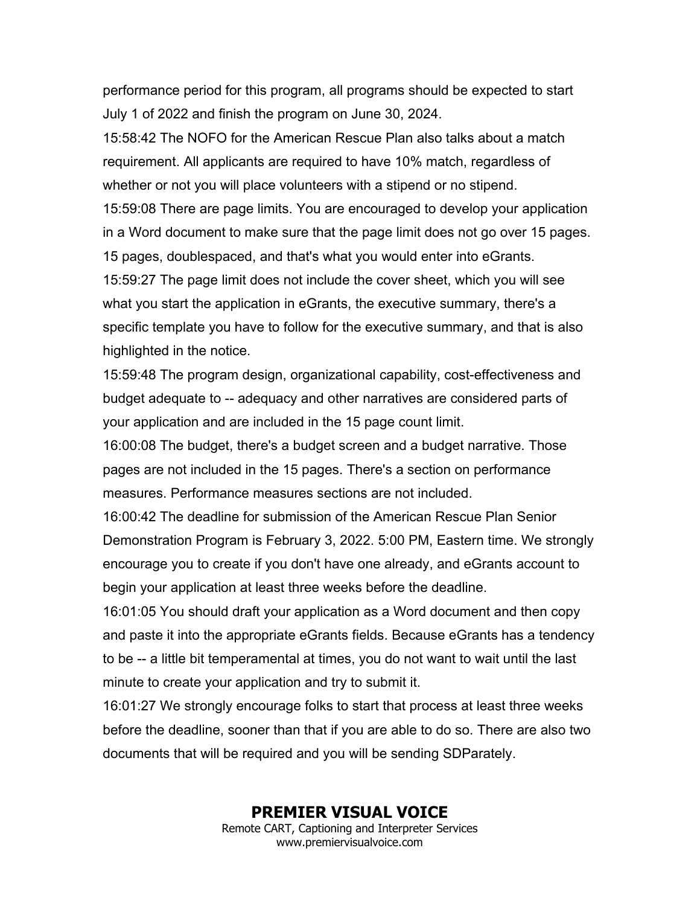performance period for this program, all programs should be expected to start July 1 of 2022 and finish the program on June 30, 2024.

15:58:42 The NOFO for the American Rescue Plan also talks about a match requirement. All applicants are required to have 10% match, regardless of whether or not you will place volunteers with a stipend or no stipend.

15:59:08 There are page limits. You are encouraged to develop your application in a Word document to make sure that the page limit does not go over 15 pages. 15 pages, doublespaced, and that's what you would enter into eGrants.

15:59:27 The page limit does not include the cover sheet, which you will see what you start the application in eGrants, the executive summary, there's a specific template you have to follow for the executive summary, and that is also highlighted in the notice.

15:59:48 The program design, organizational capability, cost-effectiveness and budget adequate to -- adequacy and other narratives are considered parts of your application and are included in the 15 page count limit.

16:00:08 The budget, there's a budget screen and a budget narrative. Those pages are not included in the 15 pages. There's a section on performance measures. Performance measures sections are not included.

16:00:42 The deadline for submission of the American Rescue Plan Senior Demonstration Program is February 3, 2022. 5:00 PM, Eastern time. We strongly encourage you to create if you don't have one already, and eGrants account to begin your application at least three weeks before the deadline.

16:01:05 You should draft your application as a Word document and then copy and paste it into the appropriate eGrants fields. Because eGrants has a tendency to be -- a little bit temperamental at times, you do not want to wait until the last minute to create your application and try to submit it.

16:01:27 We strongly encourage folks to start that process at least three weeks before the deadline, sooner than that if you are able to do so. There are also two documents that will be required and you will be sending SDParately.

#### **PREMIER VISUAL VOICE**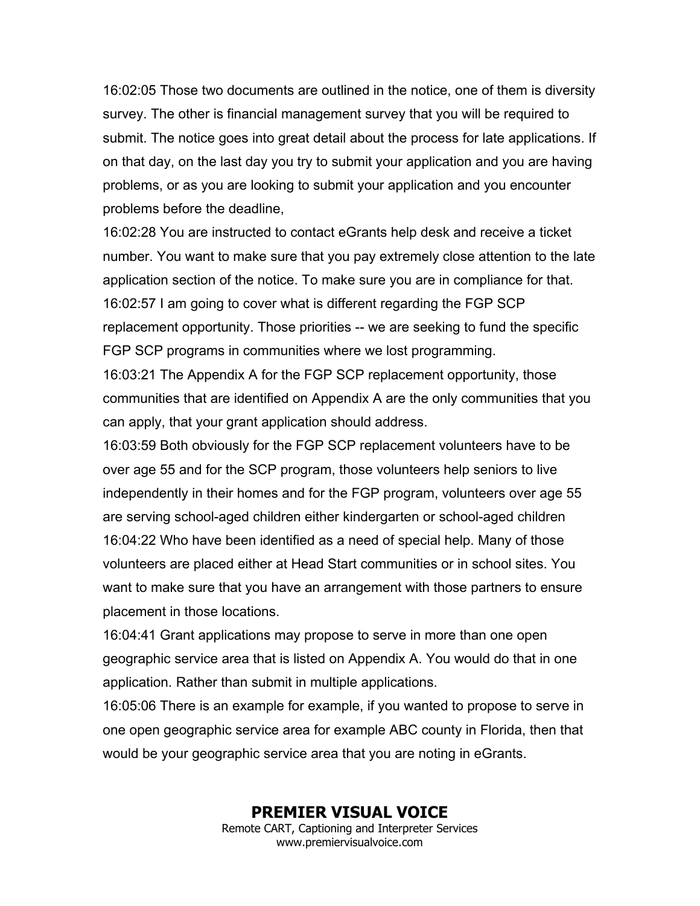16:02:05 Those two documents are outlined in the notice, one of them is diversity survey. The other is financial management survey that you will be required to submit. The notice goes into great detail about the process for late applications. If on that day, on the last day you try to submit your application and you are having problems, or as you are looking to submit your application and you encounter problems before the deadline,

16:02:28 You are instructed to contact eGrants help desk and receive a ticket number. You want to make sure that you pay extremely close attention to the late application section of the notice. To make sure you are in compliance for that. 16:02:57 I am going to cover what is different regarding the FGP SCP replacement opportunity. Those priorities -- we are seeking to fund the specific FGP SCP programs in communities where we lost programming.

16:03:21 The Appendix A for the FGP SCP replacement opportunity, those communities that are identified on Appendix A are the only communities that you can apply, that your grant application should address.

16:03:59 Both obviously for the FGP SCP replacement volunteers have to be over age 55 and for the SCP program, those volunteers help seniors to live independently in their homes and for the FGP program, volunteers over age 55 are serving school-aged children either kindergarten or school-aged children 16:04:22 Who have been identified as a need of special help. Many of those volunteers are placed either at Head Start communities or in school sites. You want to make sure that you have an arrangement with those partners to ensure placement in those locations.

16:04:41 Grant applications may propose to serve in more than one open geographic service area that is listed on Appendix A. You would do that in one application. Rather than submit in multiple applications.

16:05:06 There is an example for example, if you wanted to propose to serve in one open geographic service area for example ABC county in Florida, then that would be your geographic service area that you are noting in eGrants.

**PREMIER VISUAL VOICE**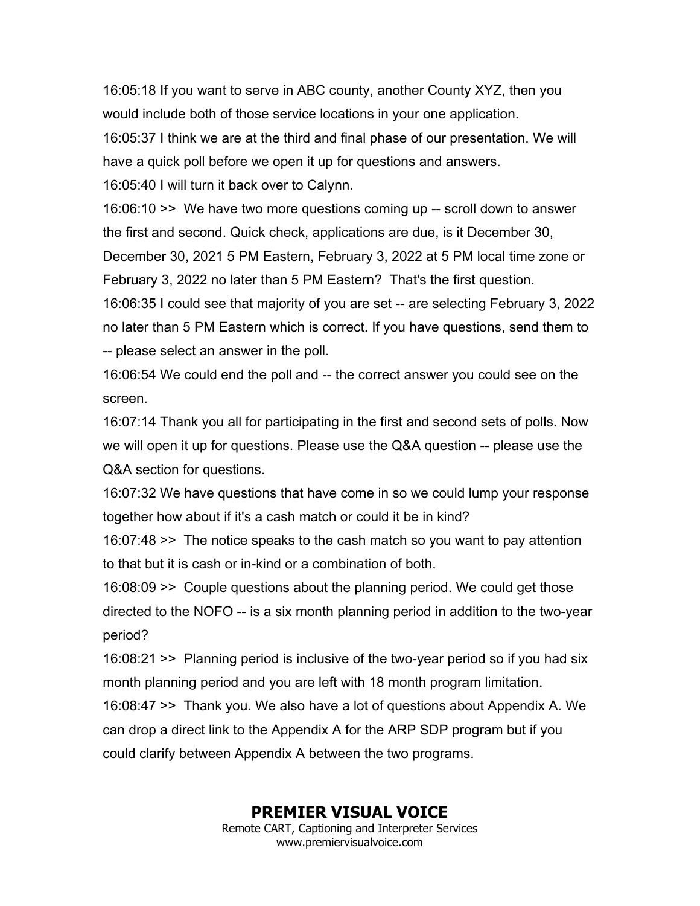16:05:18 If you want to serve in ABC county, another County XYZ, then you would include both of those service locations in your one application. 16:05:37 I think we are at the third and final phase of our presentation. We will have a quick poll before we open it up for questions and answers. 16:05:40 I will turn it back over to Calynn.

16:06:10 >> We have two more questions coming up -- scroll down to answer the first and second. Quick check, applications are due, is it December 30, December 30, 2021 5 PM Eastern, February 3, 2022 at 5 PM local time zone or February 3, 2022 no later than 5 PM Eastern? That's the first question.

16:06:35 I could see that majority of you are set -- are selecting February 3, 2022 no later than 5 PM Eastern which is correct. If you have questions, send them to -- please select an answer in the poll.

16:06:54 We could end the poll and -- the correct answer you could see on the screen.

16:07:14 Thank you all for participating in the first and second sets of polls. Now we will open it up for questions. Please use the Q&A question -- please use the Q&A section for questions.

16:07:32 We have questions that have come in so we could lump your response together how about if it's a cash match or could it be in kind?

16:07:48 >> The notice speaks to the cash match so you want to pay attention to that but it is cash or in-kind or a combination of both.

16:08:09 >> Couple questions about the planning period. We could get those directed to the NOFO -- is a six month planning period in addition to the two-year period?

16:08:21 >> Planning period is inclusive of the two-year period so if you had six month planning period and you are left with 18 month program limitation.

16:08:47 >> Thank you. We also have a lot of questions about Appendix A. We can drop a direct link to the Appendix A for the ARP SDP program but if you could clarify between Appendix A between the two programs.

## **PREMIER VISUAL VOICE**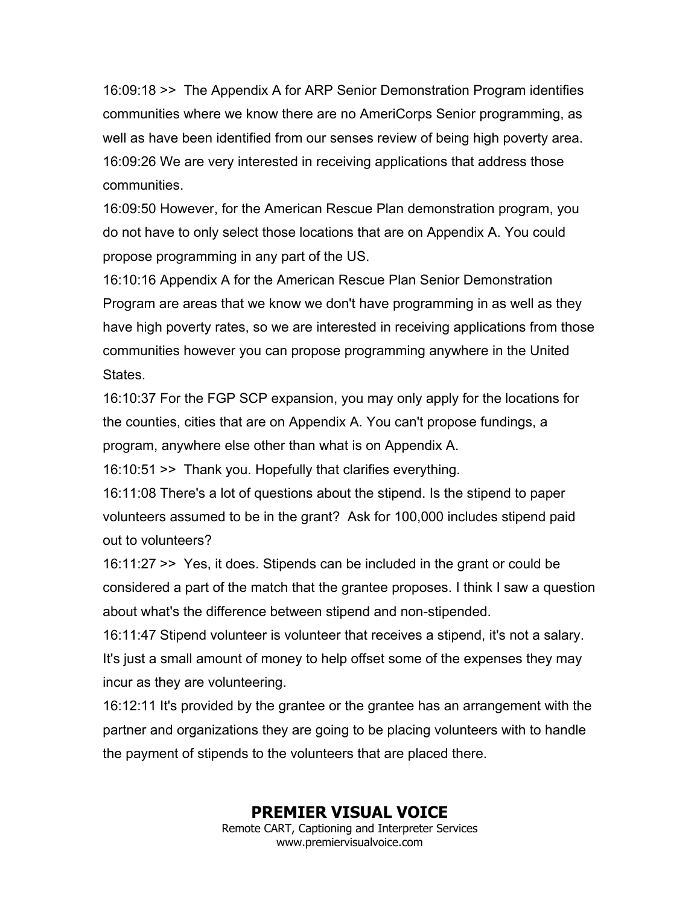16:09:18 >> The Appendix A for ARP Senior Demonstration Program identifies communities where we know there are no AmeriCorps Senior programming, as well as have been identified from our senses review of being high poverty area. 16:09:26 We are very interested in receiving applications that address those communities.

16:09:50 However, for the American Rescue Plan demonstration program, you do not have to only select those locations that are on Appendix A. You could propose programming in any part of the US.

16:10:16 Appendix A for the American Rescue Plan Senior Demonstration Program are areas that we know we don't have programming in as well as they have high poverty rates, so we are interested in receiving applications from those communities however you can propose programming anywhere in the United States.

16:10:37 For the FGP SCP expansion, you may only apply for the locations for the counties, cities that are on Appendix A. You can't propose fundings, a program, anywhere else other than what is on Appendix A.

16:10:51 >> Thank you. Hopefully that clarifies everything.

16:11:08 There's a lot of questions about the stipend. Is the stipend to paper volunteers assumed to be in the grant? Ask for 100,000 includes stipend paid out to volunteers?

16:11:27 >> Yes, it does. Stipends can be included in the grant or could be considered a part of the match that the grantee proposes. I think I saw a question about what's the difference between stipend and non-stipended.

16:11:47 Stipend volunteer is volunteer that receives a stipend, it's not a salary. It's just a small amount of money to help offset some of the expenses they may incur as they are volunteering.

16:12:11 It's provided by the grantee or the grantee has an arrangement with the partner and organizations they are going to be placing volunteers with to handle the payment of stipends to the volunteers that are placed there.

# **PREMIER VISUAL VOICE**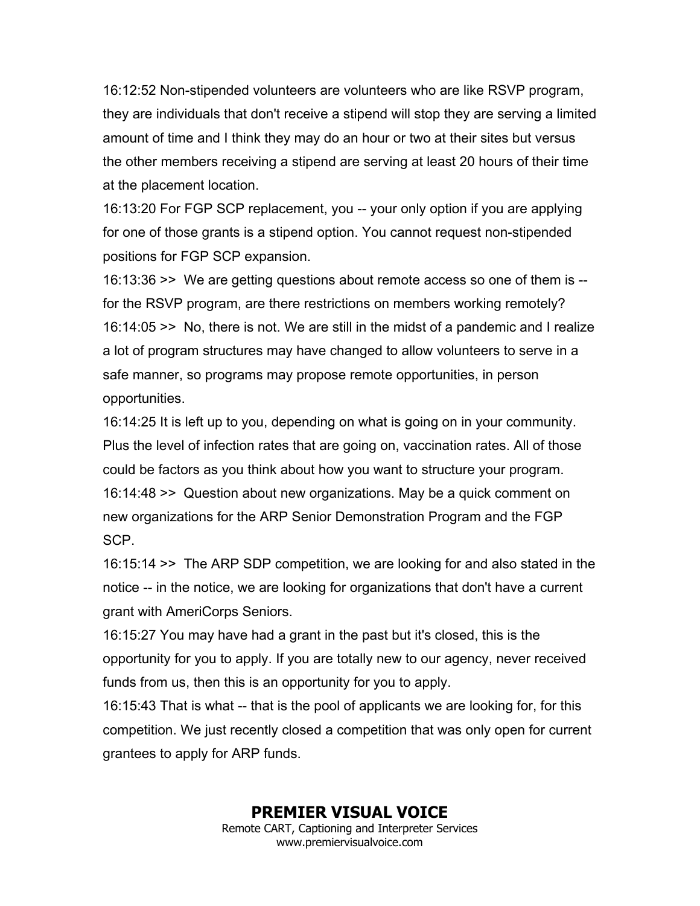16:12:52 Non-stipended volunteers are volunteers who are like RSVP program, they are individuals that don't receive a stipend will stop they are serving a limited amount of time and I think they may do an hour or two at their sites but versus the other members receiving a stipend are serving at least 20 hours of their time at the placement location.

16:13:20 For FGP SCP replacement, you -- your only option if you are applying for one of those grants is a stipend option. You cannot request non-stipended positions for FGP SCP expansion.

16:13:36 >> We are getting questions about remote access so one of them is - for the RSVP program, are there restrictions on members working remotely? 16:14:05 >> No, there is not. We are still in the midst of a pandemic and I realize a lot of program structures may have changed to allow volunteers to serve in a safe manner, so programs may propose remote opportunities, in person opportunities.

16:14:25 It is left up to you, depending on what is going on in your community. Plus the level of infection rates that are going on, vaccination rates. All of those could be factors as you think about how you want to structure your program. 16:14:48 >> Question about new organizations. May be a quick comment on new organizations for the ARP Senior Demonstration Program and the FGP SCP.

16:15:14 >> The ARP SDP competition, we are looking for and also stated in the notice -- in the notice, we are looking for organizations that don't have a current grant with AmeriCorps Seniors.

16:15:27 You may have had a grant in the past but it's closed, this is the opportunity for you to apply. If you are totally new to our agency, never received funds from us, then this is an opportunity for you to apply.

16:15:43 That is what -- that is the pool of applicants we are looking for, for this competition. We just recently closed a competition that was only open for current grantees to apply for ARP funds.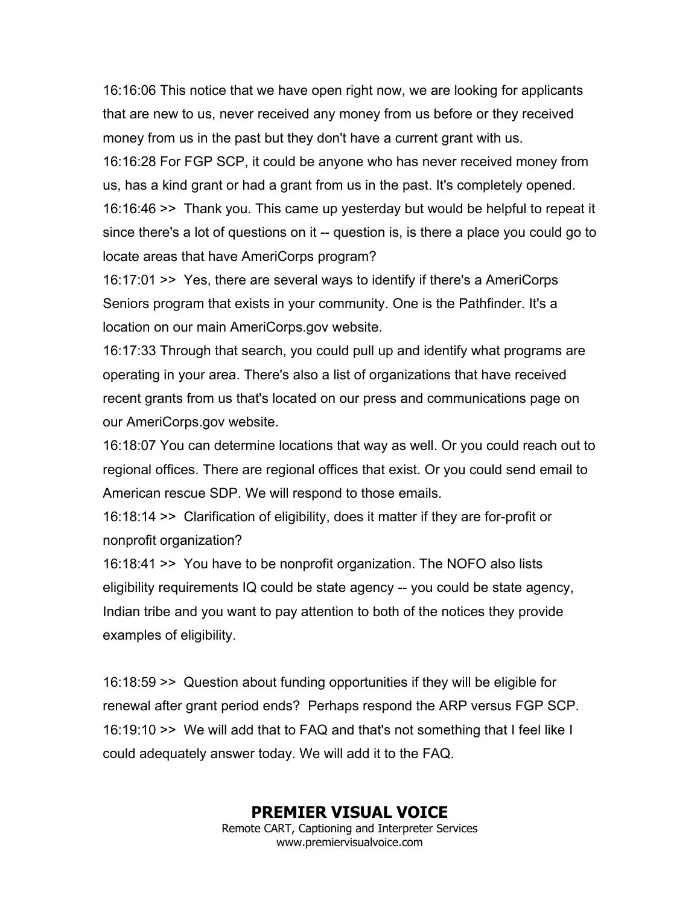16:16:06 This notice that we have open right now, we are looking for applicants that are new to us, never received any money from us before or they received money from us in the past but they don't have a current grant with us.

16:16:28 For FGP SCP, it could be anyone who has never received money from us, has a kind grant or had a grant from us in the past. It's completely opened.

16:16:46 >> Thank you. This came up yesterday but would be helpful to repeat it since there's a lot of questions on it -- question is, is there a place you could go to locate areas that have AmeriCorps program?

16:17:01 >> Yes, there are several ways to identify if there's a AmeriCorps Seniors program that exists in your community. One is the Pathfinder. It's a location on our main AmeriCorps.gov website.

16:17:33 Through that search, you could pull up and identify what programs are operating in your area. There's also a list of organizations that have received recent grants from us that's located on our press and communications page on our AmeriCorps.gov website.

16:18:07 You can determine locations that way as well. Or you could reach out to regional offices. There are regional offices that exist. Or you could send email to American rescue SDP. We will respond to those emails.

16:18:14 >> Clarification of eligibility, does it matter if they are for-profit or nonprofit organization?

16:18:41 >> You have to be nonprofit organization. The NOFO also lists eligibility requirements IQ could be state agency -- you could be state agency, Indian tribe and you want to pay attention to both of the notices they provide examples of eligibility.

16:18:59 >> Question about funding opportunities if they will be eligible for renewal after grant period ends? Perhaps respond the ARP versus FGP SCP. 16:19:10 >> We will add that to FAQ and that's not something that I feel like I could adequately answer today. We will add it to the FAQ.

### **PREMIER VISUAL VOICE**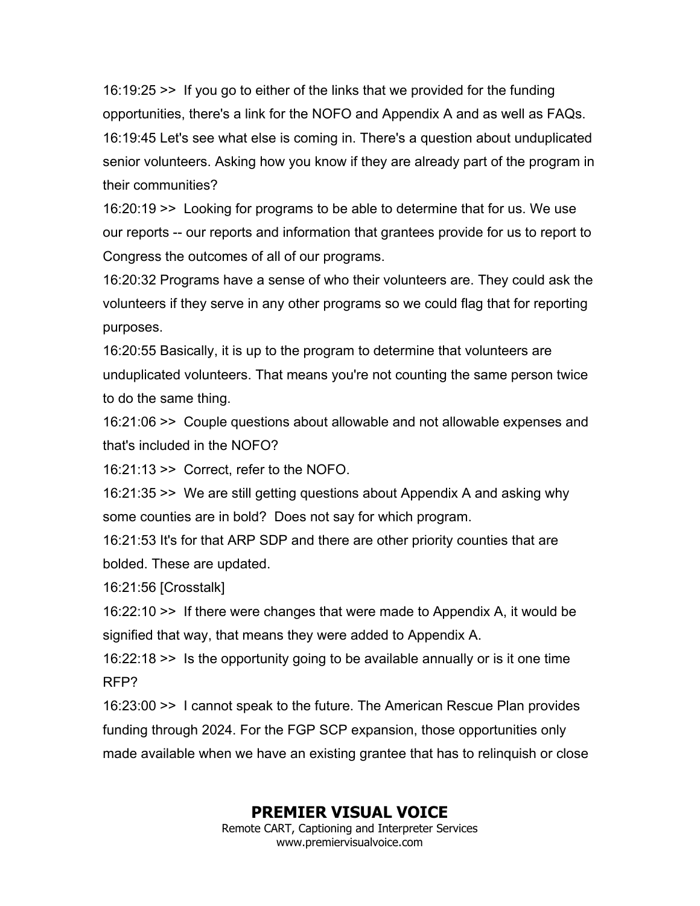16:19:25 >> If you go to either of the links that we provided for the funding opportunities, there's a link for the NOFO and Appendix A and as well as FAQs. 16:19:45 Let's see what else is coming in. There's a question about unduplicated senior volunteers. Asking how you know if they are already part of the program in their communities?

16:20:19 >> Looking for programs to be able to determine that for us. We use our reports -- our reports and information that grantees provide for us to report to Congress the outcomes of all of our programs.

16:20:32 Programs have a sense of who their volunteers are. They could ask the volunteers if they serve in any other programs so we could flag that for reporting purposes.

16:20:55 Basically, it is up to the program to determine that volunteers are unduplicated volunteers. That means you're not counting the same person twice to do the same thing.

16:21:06 >> Couple questions about allowable and not allowable expenses and that's included in the NOFO?

16:21:13 >> Correct, refer to the NOFO.

16:21:35 >> We are still getting questions about Appendix A and asking why some counties are in bold? Does not say for which program.

16:21:53 It's for that ARP SDP and there are other priority counties that are bolded. These are updated.

16:21:56 [Crosstalk]

16:22:10 >> If there were changes that were made to Appendix A, it would be signified that way, that means they were added to Appendix A.

16:22:18 >> Is the opportunity going to be available annually or is it one time RFP?

16:23:00 >> I cannot speak to the future. The American Rescue Plan provides funding through 2024. For the FGP SCP expansion, those opportunities only made available when we have an existing grantee that has to relinquish or close

# **PREMIER VISUAL VOICE**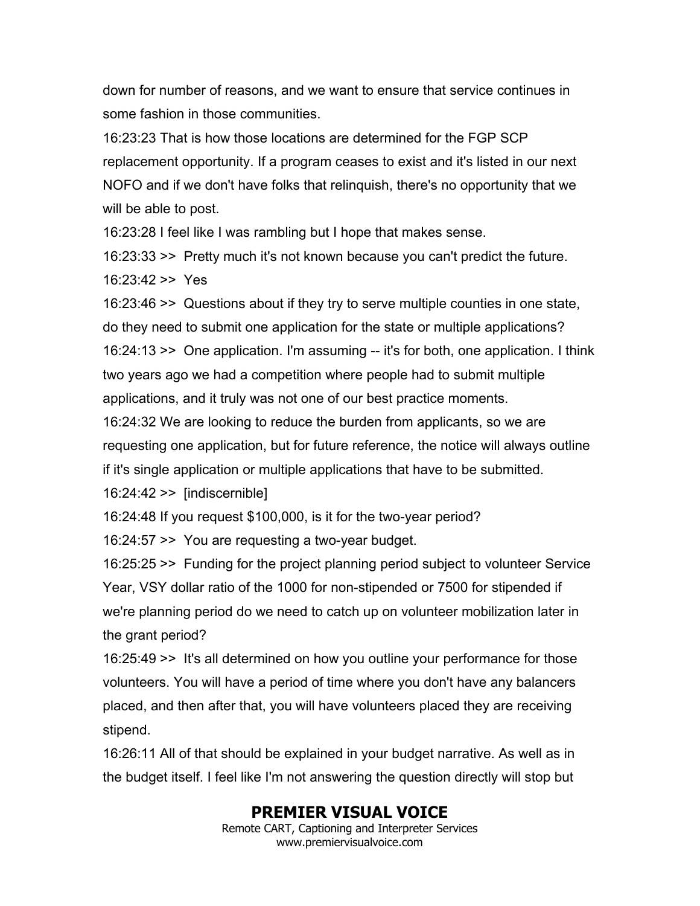down for number of reasons, and we want to ensure that service continues in some fashion in those communities.

16:23:23 That is how those locations are determined for the FGP SCP replacement opportunity. If a program ceases to exist and it's listed in our next NOFO and if we don't have folks that relinquish, there's no opportunity that we will be able to post.

16:23:28 I feel like I was rambling but I hope that makes sense.

16:23:33 >> Pretty much it's not known because you can't predict the future. 16:23:42 >> Yes

16:23:46 >> Questions about if they try to serve multiple counties in one state, do they need to submit one application for the state or multiple applications? 16:24:13 >> One application. I'm assuming -- it's for both, one application. I think two years ago we had a competition where people had to submit multiple applications, and it truly was not one of our best practice moments.

16:24:32 We are looking to reduce the burden from applicants, so we are requesting one application, but for future reference, the notice will always outline if it's single application or multiple applications that have to be submitted.

16:24:42 >> [indiscernible]

16:24:48 If you request \$100,000, is it for the two-year period?

16:24:57 >> You are requesting a two-year budget.

16:25:25 >> Funding for the project planning period subject to volunteer Service Year, VSY dollar ratio of the 1000 for non-stipended or 7500 for stipended if we're planning period do we need to catch up on volunteer mobilization later in the grant period?

16:25:49 >> It's all determined on how you outline your performance for those volunteers. You will have a period of time where you don't have any balancers placed, and then after that, you will have volunteers placed they are receiving stipend.

16:26:11 All of that should be explained in your budget narrative. As well as in the budget itself. I feel like I'm not answering the question directly will stop but

# **PREMIER VISUAL VOICE**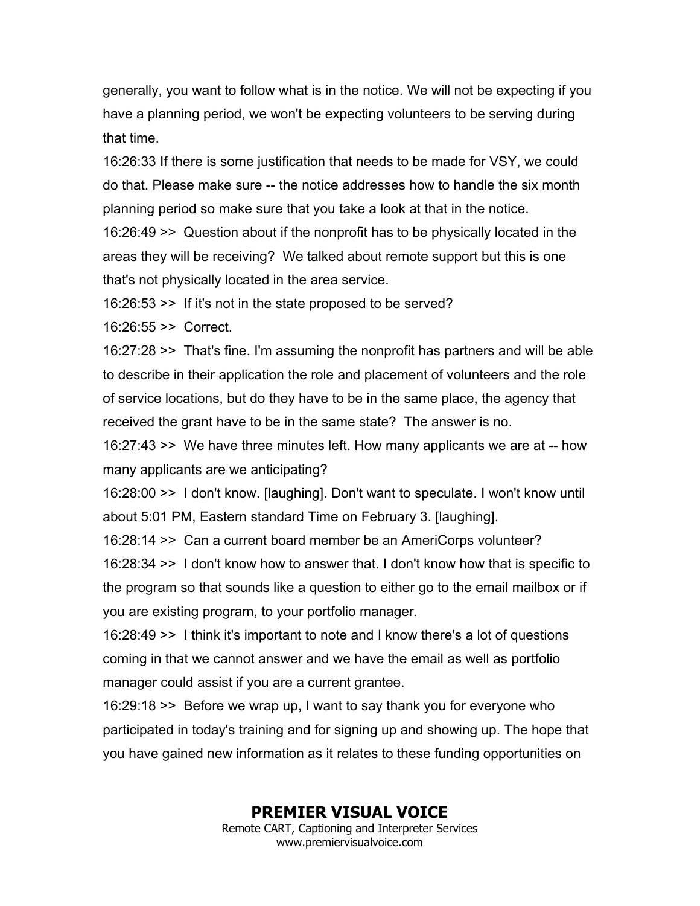generally, you want to follow what is in the notice. We will not be expecting if you have a planning period, we won't be expecting volunteers to be serving during that time.

16:26:33 If there is some justification that needs to be made for VSY, we could do that. Please make sure -- the notice addresses how to handle the six month planning period so make sure that you take a look at that in the notice.

16:26:49 >> Question about if the nonprofit has to be physically located in the areas they will be receiving? We talked about remote support but this is one that's not physically located in the area service.

16:26:53 >> If it's not in the state proposed to be served?

16:26:55 >> Correct.

16:27:28 >> That's fine. I'm assuming the nonprofit has partners and will be able to describe in their application the role and placement of volunteers and the role of service locations, but do they have to be in the same place, the agency that received the grant have to be in the same state? The answer is no.

16:27:43 >> We have three minutes left. How many applicants we are at -- how many applicants are we anticipating?

16:28:00 >> I don't know. [laughing]. Don't want to speculate. I won't know until about 5:01 PM, Eastern standard Time on February 3. [laughing].

16:28:14 >> Can a current board member be an AmeriCorps volunteer?

16:28:34 >> I don't know how to answer that. I don't know how that is specific to the program so that sounds like a question to either go to the email mailbox or if you are existing program, to your portfolio manager.

16:28:49 >> I think it's important to note and I know there's a lot of questions coming in that we cannot answer and we have the email as well as portfolio manager could assist if you are a current grantee.

16:29:18 >> Before we wrap up, I want to say thank you for everyone who participated in today's training and for signing up and showing up. The hope that you have gained new information as it relates to these funding opportunities on

# **PREMIER VISUAL VOICE**